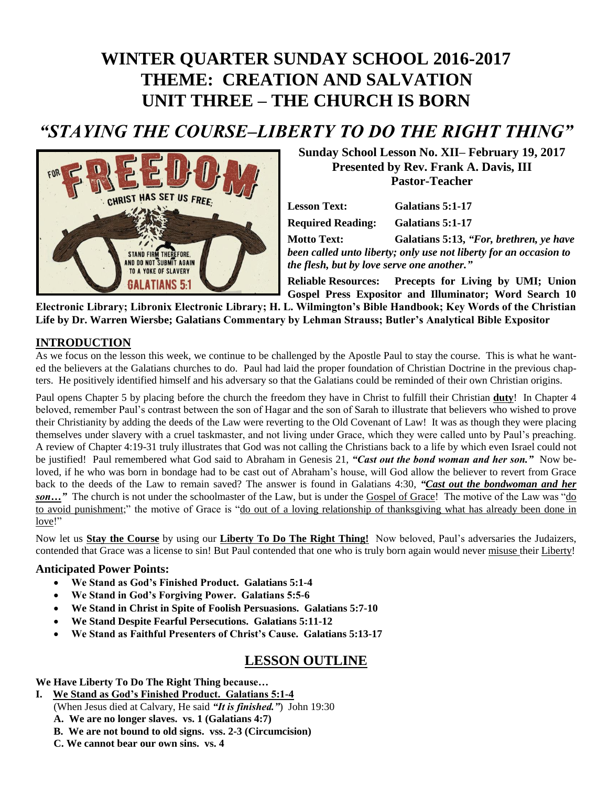# **WINTER QUARTER SUNDAY SCHOOL 2016-2017 THEME: CREATION AND SALVATION UNIT THREE – THE CHURCH IS BORN**

## *"STAYING THE COURSE–LIBERTY TO DO THE RIGHT THING"*



**Sunday School Lesson No. XII– February 19, 2017 Presented by Rev. Frank A. Davis, III Pastor-Teacher**

| <b>Lesson Text:</b>                                               | Galatians 5:1-17                        |
|-------------------------------------------------------------------|-----------------------------------------|
| <b>Required Reading:</b>                                          | Galatians 5:1-17                        |
| <b>Motto Text:</b>                                                | Galatians 5:13, "For, brethren, ye have |
| been called unto liberty; only use not liberty for an occasion to |                                         |
| the flesh, but by love serve one another."                        |                                         |
| Polioble Pecources                                                | Procents for Living by IIMI. Hojon      |

**Reliable Resources: Precepts for Living by UMI; Union Gospel Press Expositor and Illuminator; Word Search 10 Electronic Library; Libronix Electronic Library; H. L. Wilmington's Bible Handbook; Key Words of the Christian** 

**Life by Dr. Warren Wiersbe; Galatians Commentary by Lehman Strauss; Butler's Analytical Bible Expositor**

#### **INTRODUCTION**

As we focus on the lesson this week, we continue to be challenged by the Apostle Paul to stay the course. This is what he wanted the believers at the Galatians churches to do. Paul had laid the proper foundation of Christian Doctrine in the previous chapters. He positively identified himself and his adversary so that the Galatians could be reminded of their own Christian origins.

Paul opens Chapter 5 by placing before the church the freedom they have in Christ to fulfill their Christian **duty**! In Chapter 4 beloved, remember Paul's contrast between the son of Hagar and the son of Sarah to illustrate that believers who wished to prove their Christianity by adding the deeds of the Law were reverting to the Old Covenant of Law! It was as though they were placing themselves under slavery with a cruel taskmaster, and not living under Grace, which they were called unto by Paul's preaching. A review of Chapter 4:19-31 truly illustrates that God was not calling the Christians back to a life by which even Israel could not be justified! Paul remembered what God said to Abraham in Genesis 21, *"Cast out the bond woman and her son."* Now beloved, if he who was born in bondage had to be cast out of Abraham's house, will God allow the believer to revert from Grace back to the deeds of the Law to remain saved? The answer is found in Galatians 4:30, *"Cast out the bondwoman and her*  son..." The church is not under the schoolmaster of the Law, but is under the Gospel of Grace! The motive of the Law was "do to avoid punishment;" the motive of Grace is "do out of a loving relationship of thanksgiving what has already been done in love!"

Now let us **Stay the Course** by using our **Liberty To Do The Right Thing!** Now beloved, Paul's adversaries the Judaizers, contended that Grace was a license to sin! But Paul contended that one who is truly born again would never misuse their Liberty!

#### **Anticipated Power Points:**

- **We Stand as God's Finished Product. Galatians 5:1-4**
- **We Stand in God's Forgiving Power. Galatians 5:5-6**
- **We Stand in Christ in Spite of Foolish Persuasions. Galatians 5:7-10**
- **We Stand Despite Fearful Persecutions. Galatians 5:11-12**
- **We Stand as Faithful Presenters of Christ's Cause. Galatians 5:13-17**

### **LESSON OUTLINE**

**We Have Liberty To Do The Right Thing because…**

- **I. We Stand as God's Finished Product. Galatians 5:1-4** (When Jesus died at Calvary, He said *"It is finished."*) John 19:30 **A. We are no longer slaves. vs. 1 (Galatians 4:7)**
	- **B. We are not bound to old signs. vss. 2-3 (Circumcision)**
	- **C. We cannot bear our own sins. vs. 4**